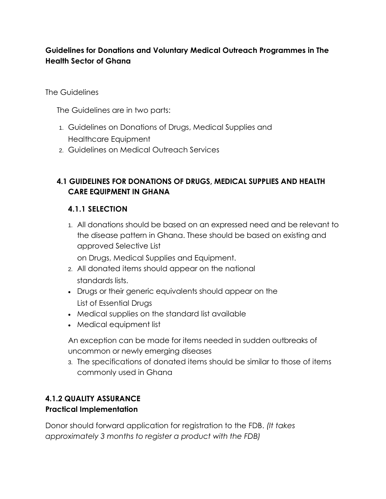## **Guidelines for Donations and Voluntary Medical Outreach Programmes in The Health Sector of Ghana**

#### The Guidelines

The Guidelines are in two parts:

- 1. Guidelines on Donations of Drugs, Medical Supplies and Healthcare Equipment
- 2. Guidelines on Medical Outreach Services

## **4.1 GUIDELINES FOR DONATIONS OF DRUGS, MEDICAL SUPPLIES AND HEALTH CARE EQUIPMENT IN GHANA**

#### **4.1.1 SELECTION**

1. All donations should be based on an expressed need and be relevant to the disease pattern in Ghana. These should be based on existing and approved Selective List

on Drugs, Medical Supplies and Equipment.

- 2. All donated items should appear on the national standards lists.
- Drugs or their generic equivalents should appear on the List of Essential Drugs
- Medical supplies on the standard list available
- Medical equipment list

An exception can be made for items needed in sudden outbreaks of uncommon or newly emerging diseases

3. The specifications of donated items should be similar to those of items commonly used in Ghana

# **4.1.2 QUALITY ASSURANCE**

#### **Practical Implementation**

Donor should forward application for registration to the FDB. *(It takes approximately 3 months to register a product with the FDB)*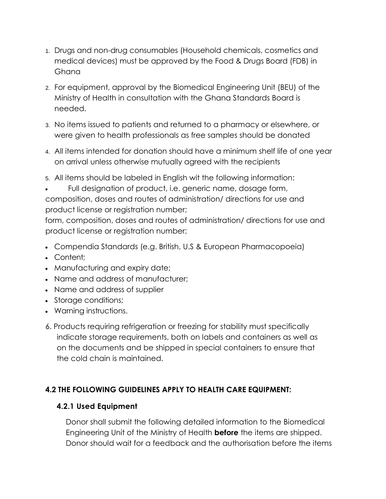- 1. Drugs and non-drug consumables (Household chemicals, cosmetics and medical devices) must be approved by the Food & Drugs Board (FDB) in Ghana
- 2. For equipment, approval by the Biomedical Engineering Unit (BEU) of the Ministry of Health in consultation with the Ghana Standards Board is needed.
- 3. No items issued to patients and returned to a pharmacy or elsewhere, or were given to health professionals as free samples should be donated
- 4. All items intended for donation should have a minimum shelf life of one year on arrival unless otherwise mutually agreed with the recipients
- 5. All items should be labeled in English wit the following information:
- Full designation of product, i.e. generic name, dosage form, composition, doses and routes of administration/ directions for use and product license or registration number;

form, composition, doses and routes of administration/ directions for use and product license or registration number;

- Compendia Standards (e.g. British, U.S & European Pharmacopoeia)
- Content:
- Manufacturing and expiry date;
- Name and address of manufacturer;
- Name and address of supplier
- Storage conditions;
- Warning instructions.
- 6. Products requiring refrigeration or freezing for stability must specifically indicate storage requirements, both on labels and containers as well as on the documents and be shipped in special containers to ensure that the cold chain is maintained.

## **4.2 THE FOLLOWING GUIDELINES APPLY TO HEALTH CARE EQUIPMENT:**

#### **4.2.1 Used Equipment**

Donor shall submit the following detailed information to the Biomedical Engineering Unit of the Ministry of Health **before** the items are shipped. Donor should wait for a feedback and the authorisation before the items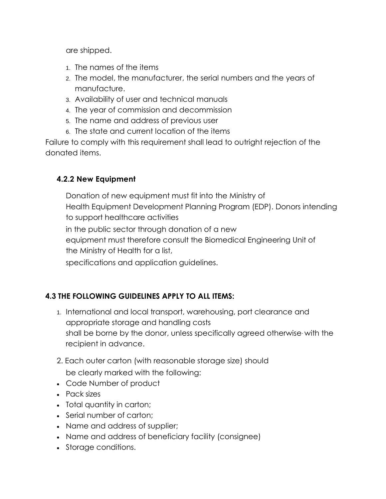are shipped.

- 1. The names of the items
- 2. The model, the manufacturer, the serial numbers and the years of manufacture.
- 3. Availability of user and technical manuals
- 4. The year of commission and decommission
- 5. The name and address of previous user
- 6. The state and current location of the items

Failure to comply with this requirement shall lead to outright rejection of the donated items.

## **4.2.2 New Equipment**

Donation of new equipment must fit into the Ministry of Health Equipment Development Planning Program (EDP). Donors intending to support healthcare activities in the public sector through donation of a new equipment must therefore consult the Biomedical Engineering Unit of the Ministry of Health for a list,

specifications and application guidelines.

## **4.3 THE FOLLOWING GUIDELINES APPLY TO ALL ITEMS:**

- 1. International and local transport, warehousing, port clearance and appropriate storage and handling costs shall be borne by the donor, unless specifically agreed otherwise. with the recipient in advance.
- 2. Each outer carton (with reasonable storage size) should be clearly marked with the following:
- Code Number of product
- Pack sizes
- Total quantity in carton;
- Serial number of carton;
- Name and address of supplier;
- Name and address of beneficiary facility (consignee)
- Storage conditions.